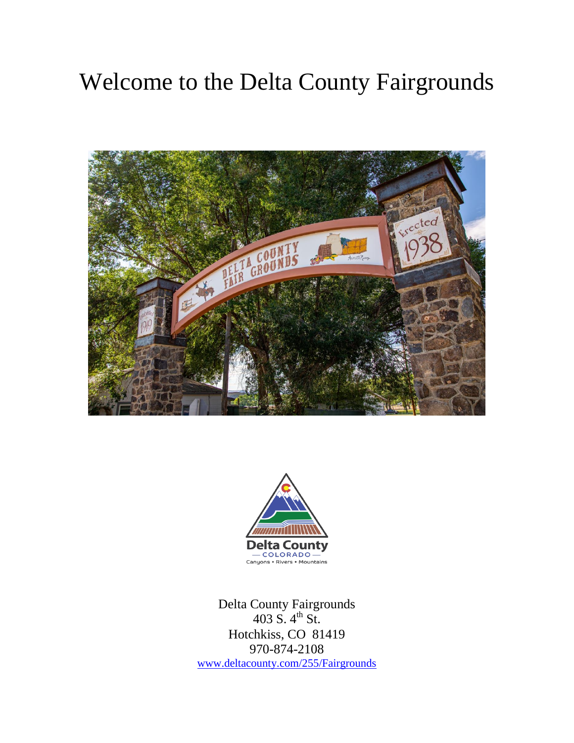# Welcome to the Delta County Fairgrounds





Delta County Fairgrounds 403 S.  $4^{th}$  St. Hotchkiss, CO 81419 970-874-2108 [www.deltacounty.com/255/Fairgrounds](http://www.deltacounty.com/255/Fairgrounds)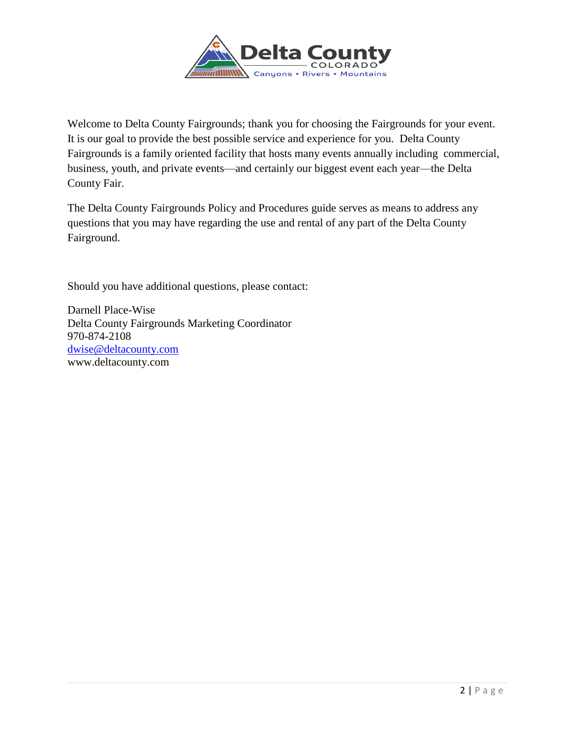

Welcome to Delta County Fairgrounds; thank you for choosing the Fairgrounds for your event. It is our goal to provide the best possible service and experience for you. Delta County Fairgrounds is a family oriented facility that hosts many events annually including commercial, business, youth, and private events—and certainly our biggest event each year—the Delta County Fair.

The Delta County Fairgrounds Policy and Procedures guide serves as means to address any questions that you may have regarding the use and rental of any part of the Delta County Fairground.

Should you have additional questions, please contact:

Darnell Place-Wise Delta County Fairgrounds Marketing Coordinator 970-874-2108 [dwise@deltacounty.com](mailto:dwise@deltacounty.com) www.deltacounty.com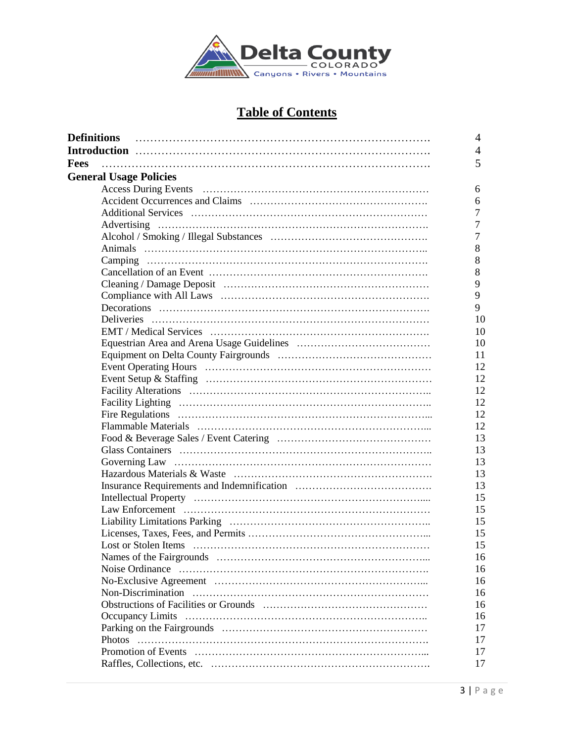

## **Table of Contents**

| <b>Definitions</b>            | 4     |
|-------------------------------|-------|
|                               | 4     |
| Fees                          | 5     |
| <b>General Usage Policies</b> |       |
|                               | 6     |
|                               | 6     |
|                               | 7     |
|                               | 7     |
|                               | 7     |
|                               | $8\,$ |
|                               | 8     |
|                               | 8     |
|                               | 9     |
|                               | 9     |
|                               | 9     |
|                               | 10    |
|                               | 10    |
|                               | 10    |
|                               | 11    |
|                               | 12    |
|                               | 12    |
|                               | 12    |
|                               | 12    |
|                               | 12    |
|                               | 12    |
|                               | 13    |
|                               | 13    |
|                               | 13    |
|                               | 13    |
|                               | 13    |
|                               | 15    |
|                               | 15    |
|                               | 15    |
|                               | 15    |
|                               | 15    |
|                               | 16    |
|                               | 16    |
|                               | 16    |
|                               | 16    |
|                               | 16    |
|                               | 16    |
|                               | 17    |
|                               | 17    |
|                               | 17    |
|                               | 17    |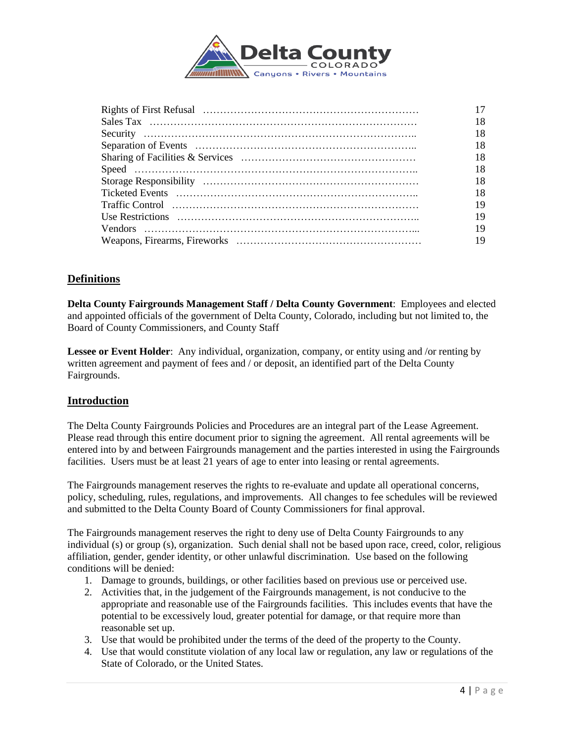

| 19 |
|----|
| 19 |
|    |
|    |
|    |

## **Definitions**

**Delta County Fairgrounds Management Staff / Delta County Government**: Employees and elected and appointed officials of the government of Delta County, Colorado, including but not limited to, the Board of County Commissioners, and County Staff

**Lessee or Event Holder**: Any individual, organization, company, or entity using and /or renting by written agreement and payment of fees and / or deposit, an identified part of the Delta County Fairgrounds.

## **Introduction**

The Delta County Fairgrounds Policies and Procedures are an integral part of the Lease Agreement. Please read through this entire document prior to signing the agreement. All rental agreements will be entered into by and between Fairgrounds management and the parties interested in using the Fairgrounds facilities. Users must be at least 21 years of age to enter into leasing or rental agreements.

The Fairgrounds management reserves the rights to re-evaluate and update all operational concerns, policy, scheduling, rules, regulations, and improvements. All changes to fee schedules will be reviewed and submitted to the Delta County Board of County Commissioners for final approval.

The Fairgrounds management reserves the right to deny use of Delta County Fairgrounds to any individual (s) or group (s), organization. Such denial shall not be based upon race, creed, color, religious affiliation, gender, gender identity, or other unlawful discrimination. Use based on the following conditions will be denied:

- 1. Damage to grounds, buildings, or other facilities based on previous use or perceived use.
- 2. Activities that, in the judgement of the Fairgrounds management, is not conducive to the appropriate and reasonable use of the Fairgrounds facilities. This includes events that have the potential to be excessively loud, greater potential for damage, or that require more than reasonable set up.
- 3. Use that would be prohibited under the terms of the deed of the property to the County.
- 4. Use that would constitute violation of any local law or regulation, any law or regulations of the State of Colorado, or the United States.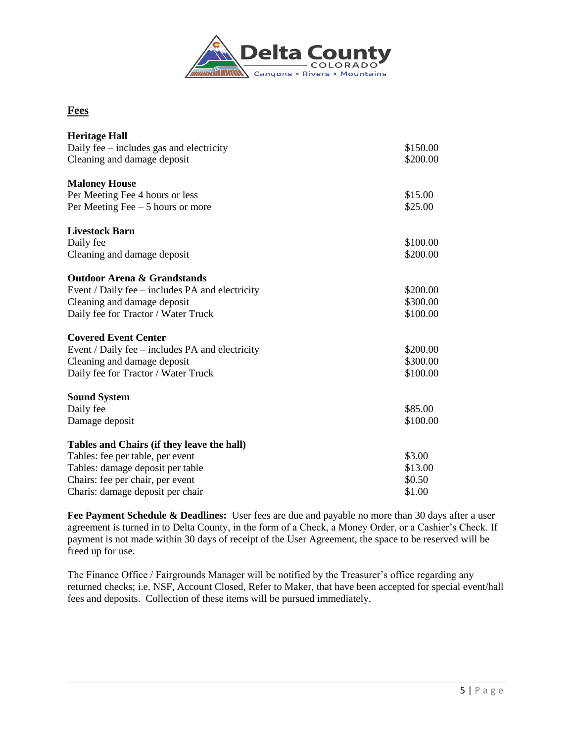

## **Fees**

| <b>Heritage Hall</b>                              |          |
|---------------------------------------------------|----------|
| Daily fee – includes gas and electricity          | \$150.00 |
| Cleaning and damage deposit                       | \$200.00 |
| <b>Maloney House</b>                              |          |
| Per Meeting Fee 4 hours or less                   | \$15.00  |
| Per Meeting Fee $-5$ hours or more                | \$25.00  |
| <b>Livestock Barn</b>                             |          |
| Daily fee                                         | \$100.00 |
| Cleaning and damage deposit                       | \$200.00 |
| <b>Outdoor Arena &amp; Grandstands</b>            |          |
| Event / Daily fee $-$ includes PA and electricity | \$200.00 |
| Cleaning and damage deposit                       | \$300.00 |
| Daily fee for Tractor / Water Truck               | \$100.00 |
| <b>Covered Event Center</b>                       |          |
| Event / Daily fee $-$ includes PA and electricity | \$200.00 |
| Cleaning and damage deposit                       | \$300.00 |
| Daily fee for Tractor / Water Truck               | \$100.00 |
| <b>Sound System</b>                               |          |
| Daily fee                                         | \$85.00  |
| Damage deposit                                    | \$100.00 |
| Tables and Chairs (if they leave the hall)        |          |
| Tables: fee per table, per event                  | \$3.00   |
| Tables: damage deposit per table                  | \$13.00  |
| Chairs: fee per chair, per event                  | \$0.50   |
| Charis: damage deposit per chair                  | \$1.00   |

**Fee Payment Schedule & Deadlines:** User fees are due and payable no more than 30 days after a user agreement is turned in to Delta County, in the form of a Check, a Money Order, or a Cashier's Check. If payment is not made within 30 days of receipt of the User Agreement, the space to be reserved will be freed up for use.

The Finance Office / Fairgrounds Manager will be notified by the Treasurer's office regarding any returned checks; i.e. NSF, Account Closed, Refer to Maker, that have been accepted for special event/hall fees and deposits. Collection of these items will be pursued immediately.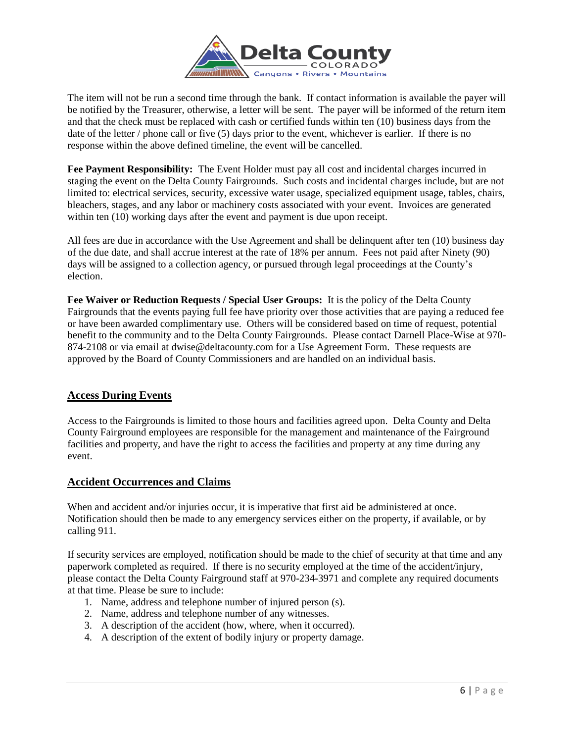

The item will not be run a second time through the bank. If contact information is available the payer will be notified by the Treasurer, otherwise, a letter will be sent. The payer will be informed of the return item and that the check must be replaced with cash or certified funds within ten (10) business days from the date of the letter / phone call or five (5) days prior to the event, whichever is earlier. If there is no response within the above defined timeline, the event will be cancelled.

**Fee Payment Responsibility:** The Event Holder must pay all cost and incidental charges incurred in staging the event on the Delta County Fairgrounds. Such costs and incidental charges include, but are not limited to: electrical services, security, excessive water usage, specialized equipment usage, tables, chairs, bleachers, stages, and any labor or machinery costs associated with your event. Invoices are generated within ten (10) working days after the event and payment is due upon receipt.

All fees are due in accordance with the Use Agreement and shall be delinquent after ten (10) business day of the due date, and shall accrue interest at the rate of 18% per annum. Fees not paid after Ninety (90) days will be assigned to a collection agency, or pursued through legal proceedings at the County's election.

**Fee Waiver or Reduction Requests / Special User Groups:** It is the policy of the Delta County Fairgrounds that the events paying full fee have priority over those activities that are paying a reduced fee or have been awarded complimentary use. Others will be considered based on time of request, potential benefit to the community and to the Delta County Fairgrounds. Please contact Darnell Place-Wise at 970- 874-2108 or via email at dwise@deltacounty.com for a Use Agreement Form. These requests are approved by the Board of County Commissioners and are handled on an individual basis.

## **Access During Events**

Access to the Fairgrounds is limited to those hours and facilities agreed upon. Delta County and Delta County Fairground employees are responsible for the management and maintenance of the Fairground facilities and property, and have the right to access the facilities and property at any time during any event.

## **Accident Occurrences and Claims**

When and accident and/or injuries occur, it is imperative that first aid be administered at once. Notification should then be made to any emergency services either on the property, if available, or by calling 911.

If security services are employed, notification should be made to the chief of security at that time and any paperwork completed as required. If there is no security employed at the time of the accident/injury, please contact the Delta County Fairground staff at 970-234-3971 and complete any required documents at that time. Please be sure to include:

- 1. Name, address and telephone number of injured person (s).
- 2. Name, address and telephone number of any witnesses.
- 3. A description of the accident (how, where, when it occurred).
- 4. A description of the extent of bodily injury or property damage.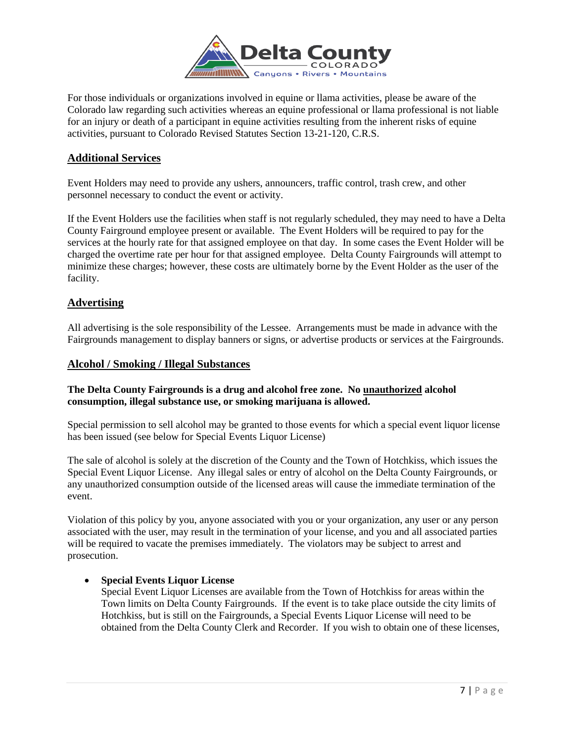

For those individuals or organizations involved in equine or llama activities, please be aware of the Colorado law regarding such activities whereas an equine professional or llama professional is not liable for an injury or death of a participant in equine activities resulting from the inherent risks of equine activities, pursuant to Colorado Revised Statutes Section 13-21-120, C.R.S.

## **Additional Services**

Event Holders may need to provide any ushers, announcers, traffic control, trash crew, and other personnel necessary to conduct the event or activity.

If the Event Holders use the facilities when staff is not regularly scheduled, they may need to have a Delta County Fairground employee present or available. The Event Holders will be required to pay for the services at the hourly rate for that assigned employee on that day. In some cases the Event Holder will be charged the overtime rate per hour for that assigned employee. Delta County Fairgrounds will attempt to minimize these charges; however, these costs are ultimately borne by the Event Holder as the user of the facility.

## **Advertising**

All advertising is the sole responsibility of the Lessee. Arrangements must be made in advance with the Fairgrounds management to display banners or signs, or advertise products or services at the Fairgrounds.

#### **Alcohol / Smoking / Illegal Substances**

#### **The Delta County Fairgrounds is a drug and alcohol free zone. No unauthorized alcohol consumption, illegal substance use, or smoking marijuana is allowed.**

Special permission to sell alcohol may be granted to those events for which a special event liquor license has been issued (see below for Special Events Liquor License)

The sale of alcohol is solely at the discretion of the County and the Town of Hotchkiss, which issues the Special Event Liquor License. Any illegal sales or entry of alcohol on the Delta County Fairgrounds, or any unauthorized consumption outside of the licensed areas will cause the immediate termination of the event.

Violation of this policy by you, anyone associated with you or your organization, any user or any person associated with the user, may result in the termination of your license, and you and all associated parties will be required to vacate the premises immediately. The violators may be subject to arrest and prosecution.

#### **Special Events Liquor License**

Special Event Liquor Licenses are available from the Town of Hotchkiss for areas within the Town limits on Delta County Fairgrounds. If the event is to take place outside the city limits of Hotchkiss, but is still on the Fairgrounds, a Special Events Liquor License will need to be obtained from the Delta County Clerk and Recorder. If you wish to obtain one of these licenses,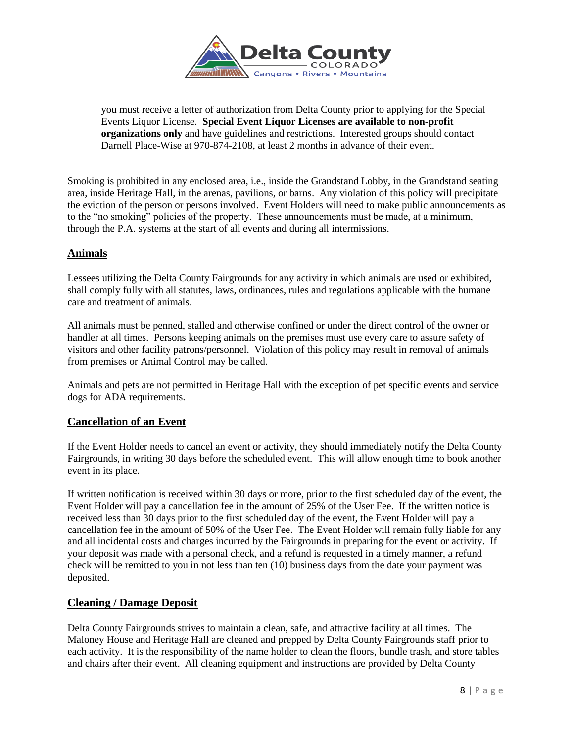

you must receive a letter of authorization from Delta County prior to applying for the Special Events Liquor License. **Special Event Liquor Licenses are available to non-profit organizations only** and have guidelines and restrictions. Interested groups should contact Darnell Place-Wise at 970-874-2108, at least 2 months in advance of their event.

Smoking is prohibited in any enclosed area, i.e., inside the Grandstand Lobby, in the Grandstand seating area, inside Heritage Hall, in the arenas, pavilions, or barns. Any violation of this policy will precipitate the eviction of the person or persons involved. Event Holders will need to make public announcements as to the "no smoking" policies of the property. These announcements must be made, at a minimum, through the P.A. systems at the start of all events and during all intermissions.

## **Animals**

Lessees utilizing the Delta County Fairgrounds for any activity in which animals are used or exhibited, shall comply fully with all statutes, laws, ordinances, rules and regulations applicable with the humane care and treatment of animals.

All animals must be penned, stalled and otherwise confined or under the direct control of the owner or handler at all times. Persons keeping animals on the premises must use every care to assure safety of visitors and other facility patrons/personnel. Violation of this policy may result in removal of animals from premises or Animal Control may be called.

Animals and pets are not permitted in Heritage Hall with the exception of pet specific events and service dogs for ADA requirements.

## **Cancellation of an Event**

If the Event Holder needs to cancel an event or activity, they should immediately notify the Delta County Fairgrounds, in writing 30 days before the scheduled event. This will allow enough time to book another event in its place.

If written notification is received within 30 days or more, prior to the first scheduled day of the event, the Event Holder will pay a cancellation fee in the amount of 25% of the User Fee. If the written notice is received less than 30 days prior to the first scheduled day of the event, the Event Holder will pay a cancellation fee in the amount of 50% of the User Fee. The Event Holder will remain fully liable for any and all incidental costs and charges incurred by the Fairgrounds in preparing for the event or activity. If your deposit was made with a personal check, and a refund is requested in a timely manner, a refund check will be remitted to you in not less than ten (10) business days from the date your payment was deposited.

## **Cleaning / Damage Deposit**

Delta County Fairgrounds strives to maintain a clean, safe, and attractive facility at all times. The Maloney House and Heritage Hall are cleaned and prepped by Delta County Fairgrounds staff prior to each activity. It is the responsibility of the name holder to clean the floors, bundle trash, and store tables and chairs after their event. All cleaning equipment and instructions are provided by Delta County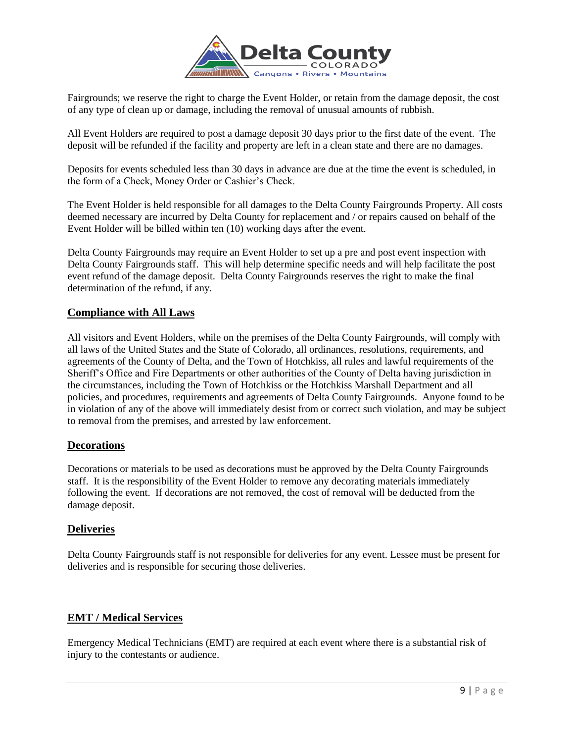

Fairgrounds; we reserve the right to charge the Event Holder, or retain from the damage deposit, the cost of any type of clean up or damage, including the removal of unusual amounts of rubbish.

All Event Holders are required to post a damage deposit 30 days prior to the first date of the event. The deposit will be refunded if the facility and property are left in a clean state and there are no damages.

Deposits for events scheduled less than 30 days in advance are due at the time the event is scheduled, in the form of a Check, Money Order or Cashier's Check.

The Event Holder is held responsible for all damages to the Delta County Fairgrounds Property. All costs deemed necessary are incurred by Delta County for replacement and / or repairs caused on behalf of the Event Holder will be billed within ten (10) working days after the event.

Delta County Fairgrounds may require an Event Holder to set up a pre and post event inspection with Delta County Fairgrounds staff. This will help determine specific needs and will help facilitate the post event refund of the damage deposit. Delta County Fairgrounds reserves the right to make the final determination of the refund, if any.

## **Compliance with All Laws**

All visitors and Event Holders, while on the premises of the Delta County Fairgrounds, will comply with all laws of the United States and the State of Colorado, all ordinances, resolutions, requirements, and agreements of the County of Delta, and the Town of Hotchkiss, all rules and lawful requirements of the Sheriff's Office and Fire Departments or other authorities of the County of Delta having jurisdiction in the circumstances, including the Town of Hotchkiss or the Hotchkiss Marshall Department and all policies, and procedures, requirements and agreements of Delta County Fairgrounds. Anyone found to be in violation of any of the above will immediately desist from or correct such violation, and may be subject to removal from the premises, and arrested by law enforcement.

#### **Decorations**

Decorations or materials to be used as decorations must be approved by the Delta County Fairgrounds staff. It is the responsibility of the Event Holder to remove any decorating materials immediately following the event. If decorations are not removed, the cost of removal will be deducted from the damage deposit.

#### **Deliveries**

Delta County Fairgrounds staff is not responsible for deliveries for any event. Lessee must be present for deliveries and is responsible for securing those deliveries.

#### **EMT / Medical Services**

Emergency Medical Technicians (EMT) are required at each event where there is a substantial risk of injury to the contestants or audience.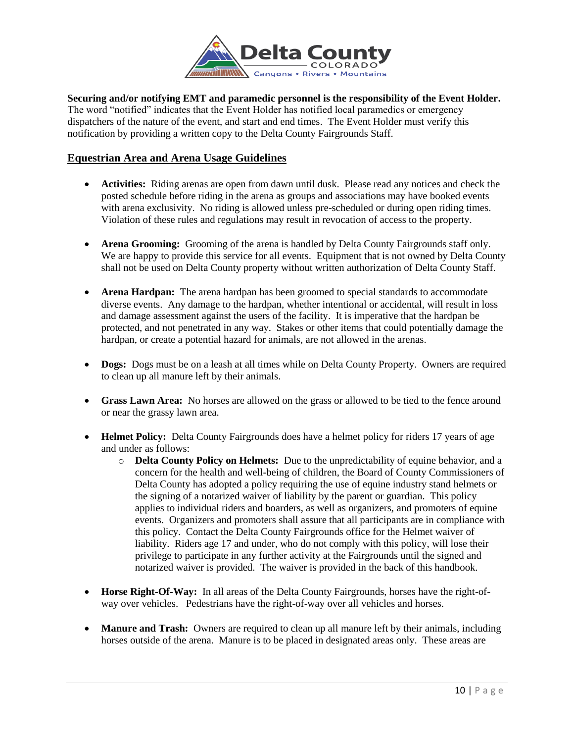

**Securing and/or notifying EMT and paramedic personnel is the responsibility of the Event Holder.**  The word "notified" indicates that the Event Holder has notified local paramedics or emergency dispatchers of the nature of the event, and start and end times. The Event Holder must verify this notification by providing a written copy to the Delta County Fairgrounds Staff.

## **Equestrian Area and Arena Usage Guidelines**

- **Activities:** Riding arenas are open from dawn until dusk. Please read any notices and check the posted schedule before riding in the arena as groups and associations may have booked events with arena exclusivity. No riding is allowed unless pre-scheduled or during open riding times. Violation of these rules and regulations may result in revocation of access to the property.
- **Arena Grooming:** Grooming of the arena is handled by Delta County Fairgrounds staff only. We are happy to provide this service for all events. Equipment that is not owned by Delta County shall not be used on Delta County property without written authorization of Delta County Staff.
- **Arena Hardpan:** The arena hardpan has been groomed to special standards to accommodate diverse events. Any damage to the hardpan, whether intentional or accidental, will result in loss and damage assessment against the users of the facility. It is imperative that the hardpan be protected, and not penetrated in any way. Stakes or other items that could potentially damage the hardpan, or create a potential hazard for animals, are not allowed in the arenas.
- **Dogs:** Dogs must be on a leash at all times while on Delta County Property. Owners are required to clean up all manure left by their animals.
- **Grass Lawn Area:** No horses are allowed on the grass or allowed to be tied to the fence around or near the grassy lawn area.
- **Helmet Policy:** Delta County Fairgrounds does have a helmet policy for riders 17 years of age and under as follows:
	- o **Delta County Policy on Helmets:** Due to the unpredictability of equine behavior, and a concern for the health and well-being of children, the Board of County Commissioners of Delta County has adopted a policy requiring the use of equine industry stand helmets or the signing of a notarized waiver of liability by the parent or guardian. This policy applies to individual riders and boarders, as well as organizers, and promoters of equine events. Organizers and promoters shall assure that all participants are in compliance with this policy. Contact the Delta County Fairgrounds office for the Helmet waiver of liability. Riders age 17 and under, who do not comply with this policy, will lose their privilege to participate in any further activity at the Fairgrounds until the signed and notarized waiver is provided. The waiver is provided in the back of this handbook.
- **Horse Right-Of-Way:** In all areas of the Delta County Fairgrounds, horses have the right-ofway over vehicles. Pedestrians have the right-of-way over all vehicles and horses.
- **Manure and Trash:** Owners are required to clean up all manure left by their animals, including horses outside of the arena. Manure is to be placed in designated areas only. These areas are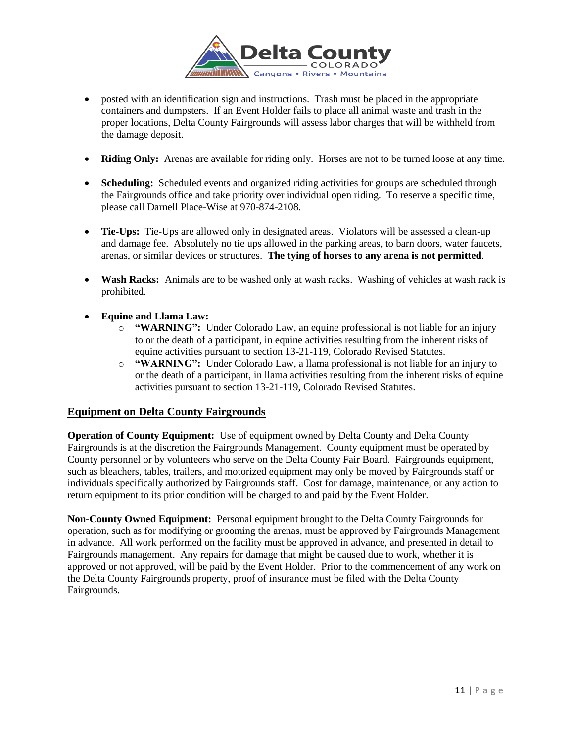

- posted with an identification sign and instructions. Trash must be placed in the appropriate containers and dumpsters. If an Event Holder fails to place all animal waste and trash in the proper locations, Delta County Fairgrounds will assess labor charges that will be withheld from the damage deposit.
- **Riding Only:** Arenas are available for riding only. Horses are not to be turned loose at any time.
- **Scheduling:** Scheduled events and organized riding activities for groups are scheduled through the Fairgrounds office and take priority over individual open riding. To reserve a specific time, please call Darnell Place-Wise at 970-874-2108.
- Tie-Ups: Tie-Ups are allowed only in designated areas. Violators will be assessed a clean-up and damage fee. Absolutely no tie ups allowed in the parking areas, to barn doors, water faucets, arenas, or similar devices or structures. **The tying of horses to any arena is not permitted**.
- **Wash Racks:** Animals are to be washed only at wash racks. Washing of vehicles at wash rack is prohibited.
- **Equine and Llama Law:** 
	- o **"WARNING":** Under Colorado Law, an equine professional is not liable for an injury to or the death of a participant, in equine activities resulting from the inherent risks of equine activities pursuant to section 13-21-119, Colorado Revised Statutes.
	- o **"WARNING":** Under Colorado Law, a llama professional is not liable for an injury to or the death of a participant, in llama activities resulting from the inherent risks of equine activities pursuant to section 13-21-119, Colorado Revised Statutes.

#### **Equipment on Delta County Fairgrounds**

**Operation of County Equipment:** Use of equipment owned by Delta County and Delta County Fairgrounds is at the discretion the Fairgrounds Management. County equipment must be operated by County personnel or by volunteers who serve on the Delta County Fair Board. Fairgrounds equipment, such as bleachers, tables, trailers, and motorized equipment may only be moved by Fairgrounds staff or individuals specifically authorized by Fairgrounds staff. Cost for damage, maintenance, or any action to return equipment to its prior condition will be charged to and paid by the Event Holder.

**Non-County Owned Equipment:** Personal equipment brought to the Delta County Fairgrounds for operation, such as for modifying or grooming the arenas, must be approved by Fairgrounds Management in advance. All work performed on the facility must be approved in advance, and presented in detail to Fairgrounds management. Any repairs for damage that might be caused due to work, whether it is approved or not approved, will be paid by the Event Holder. Prior to the commencement of any work on the Delta County Fairgrounds property, proof of insurance must be filed with the Delta County Fairgrounds.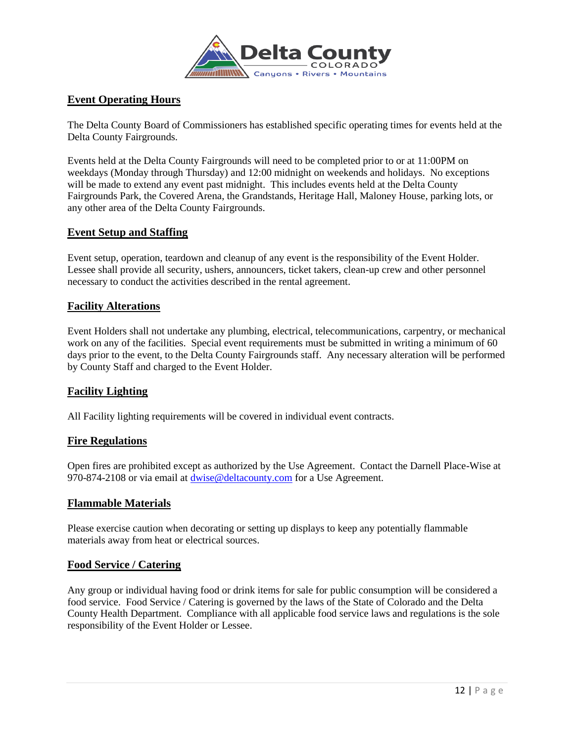

## **Event Operating Hours**

The Delta County Board of Commissioners has established specific operating times for events held at the Delta County Fairgrounds.

Events held at the Delta County Fairgrounds will need to be completed prior to or at 11:00PM on weekdays (Monday through Thursday) and 12:00 midnight on weekends and holidays. No exceptions will be made to extend any event past midnight. This includes events held at the Delta County Fairgrounds Park, the Covered Arena, the Grandstands, Heritage Hall, Maloney House, parking lots, or any other area of the Delta County Fairgrounds.

#### **Event Setup and Staffing**

Event setup, operation, teardown and cleanup of any event is the responsibility of the Event Holder. Lessee shall provide all security, ushers, announcers, ticket takers, clean-up crew and other personnel necessary to conduct the activities described in the rental agreement.

#### **Facility Alterations**

Event Holders shall not undertake any plumbing, electrical, telecommunications, carpentry, or mechanical work on any of the facilities. Special event requirements must be submitted in writing a minimum of 60 days prior to the event, to the Delta County Fairgrounds staff. Any necessary alteration will be performed by County Staff and charged to the Event Holder.

## **Facility Lighting**

All Facility lighting requirements will be covered in individual event contracts.

#### **Fire Regulations**

Open fires are prohibited except as authorized by the Use Agreement. Contact the Darnell Place-Wise at 970-874-2108 or via email at [dwise@deltacounty.com](mailto:dwise@deltacounty.com) for a Use Agreement.

#### **Flammable Materials**

Please exercise caution when decorating or setting up displays to keep any potentially flammable materials away from heat or electrical sources.

#### **Food Service / Catering**

Any group or individual having food or drink items for sale for public consumption will be considered a food service. Food Service / Catering is governed by the laws of the State of Colorado and the Delta County Health Department. Compliance with all applicable food service laws and regulations is the sole responsibility of the Event Holder or Lessee.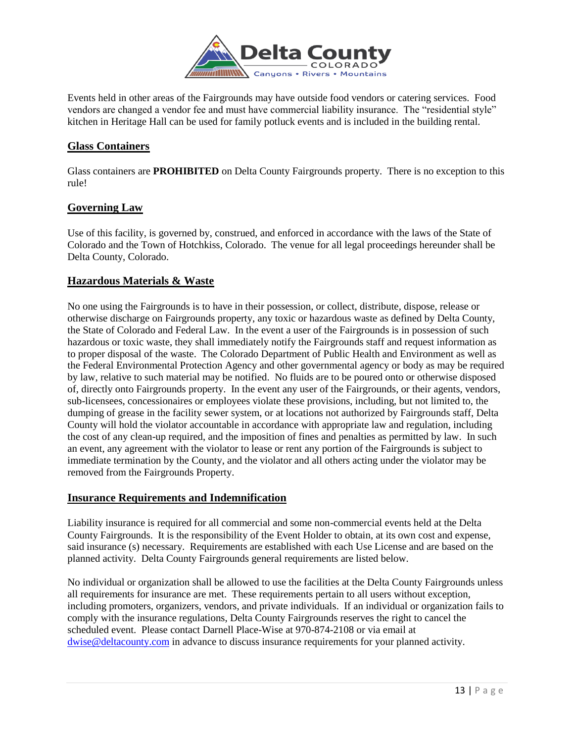

Events held in other areas of the Fairgrounds may have outside food vendors or catering services. Food vendors are changed a vendor fee and must have commercial liability insurance. The "residential style" kitchen in Heritage Hall can be used for family potluck events and is included in the building rental.

## **Glass Containers**

Glass containers are **PROHIBITED** on Delta County Fairgrounds property. There is no exception to this rule!

## **Governing Law**

Use of this facility, is governed by, construed, and enforced in accordance with the laws of the State of Colorado and the Town of Hotchkiss, Colorado. The venue for all legal proceedings hereunder shall be Delta County, Colorado.

## **Hazardous Materials & Waste**

No one using the Fairgrounds is to have in their possession, or collect, distribute, dispose, release or otherwise discharge on Fairgrounds property, any toxic or hazardous waste as defined by Delta County, the State of Colorado and Federal Law. In the event a user of the Fairgrounds is in possession of such hazardous or toxic waste, they shall immediately notify the Fairgrounds staff and request information as to proper disposal of the waste. The Colorado Department of Public Health and Environment as well as the Federal Environmental Protection Agency and other governmental agency or body as may be required by law, relative to such material may be notified. No fluids are to be poured onto or otherwise disposed of, directly onto Fairgrounds property. In the event any user of the Fairgrounds, or their agents, vendors, sub-licensees, concessionaires or employees violate these provisions, including, but not limited to, the dumping of grease in the facility sewer system, or at locations not authorized by Fairgrounds staff, Delta County will hold the violator accountable in accordance with appropriate law and regulation, including the cost of any clean-up required, and the imposition of fines and penalties as permitted by law. In such an event, any agreement with the violator to lease or rent any portion of the Fairgrounds is subject to immediate termination by the County, and the violator and all others acting under the violator may be removed from the Fairgrounds Property.

## **Insurance Requirements and Indemnification**

Liability insurance is required for all commercial and some non-commercial events held at the Delta County Fairgrounds. It is the responsibility of the Event Holder to obtain, at its own cost and expense, said insurance (s) necessary. Requirements are established with each Use License and are based on the planned activity. Delta County Fairgrounds general requirements are listed below.

No individual or organization shall be allowed to use the facilities at the Delta County Fairgrounds unless all requirements for insurance are met. These requirements pertain to all users without exception, including promoters, organizers, vendors, and private individuals. If an individual or organization fails to comply with the insurance regulations, Delta County Fairgrounds reserves the right to cancel the scheduled event. Please contact Darnell Place-Wise at 970-874-2108 or via email at [dwise@deltacounty.com](mailto:dwise@deltacounty.com) in advance to discuss insurance requirements for your planned activity.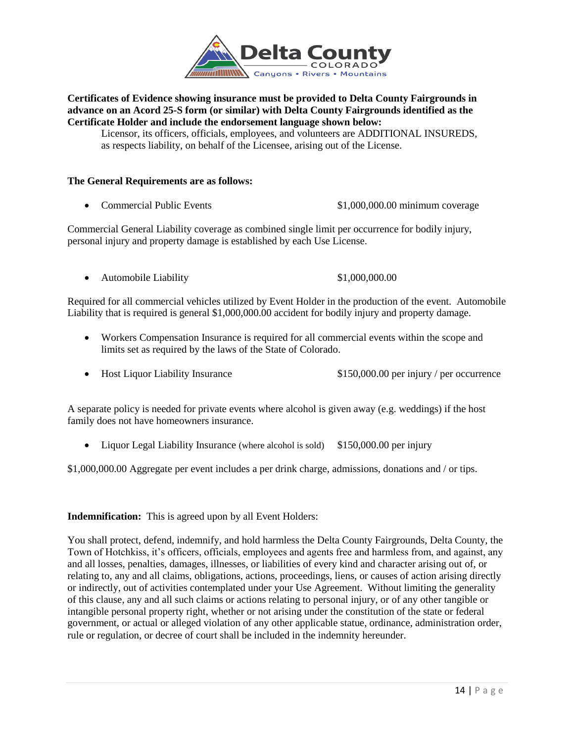

#### **Certificates of Evidence showing insurance must be provided to Delta County Fairgrounds in advance on an Acord 25-S form (or similar) with Delta County Fairgrounds identified as the Certificate Holder and include the endorsement language shown below:**

Licensor, its officers, officials, employees, and volunteers are ADDITIONAL INSUREDS, as respects liability, on behalf of the Licensee, arising out of the License.

#### **The General Requirements are as follows:**

Commercial Public Events \$1,000,000.00 minimum coverage

Commercial General Liability coverage as combined single limit per occurrence for bodily injury, personal injury and property damage is established by each Use License.

• Automobile Liability \$1,000,000.00

Required for all commercial vehicles utilized by Event Holder in the production of the event. Automobile Liability that is required is general \$1,000,000.00 accident for bodily injury and property damage.

- Workers Compensation Insurance is required for all commercial events within the scope and limits set as required by the laws of the State of Colorado.
- Host Liquor Liability Insurance  $$150,000.00$  per injury / per occurrence

A separate policy is needed for private events where alcohol is given away (e.g. weddings) if the host family does not have homeowners insurance.

• Liquor Legal Liability Insurance (where alcohol is sold) \$150,000.00 per injury

\$1,000,000.00 Aggregate per event includes a per drink charge, admissions, donations and / or tips.

#### **Indemnification:** This is agreed upon by all Event Holders:

You shall protect, defend, indemnify, and hold harmless the Delta County Fairgrounds, Delta County, the Town of Hotchkiss, it's officers, officials, employees and agents free and harmless from, and against, any and all losses, penalties, damages, illnesses, or liabilities of every kind and character arising out of, or relating to, any and all claims, obligations, actions, proceedings, liens, or causes of action arising directly or indirectly, out of activities contemplated under your Use Agreement. Without limiting the generality of this clause, any and all such claims or actions relating to personal injury, or of any other tangible or intangible personal property right, whether or not arising under the constitution of the state or federal government, or actual or alleged violation of any other applicable statue, ordinance, administration order, rule or regulation, or decree of court shall be included in the indemnity hereunder.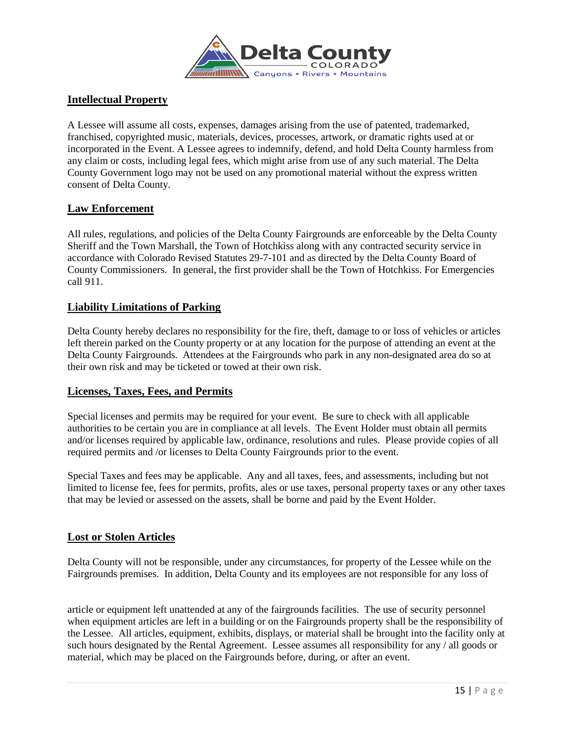

## **Intellectual Property**

A Lessee will assume all costs, expenses, damages arising from the use of patented, trademarked, franchised, copyrighted music, materials, devices, processes, artwork, or dramatic rights used at or incorporated in the Event. A Lessee agrees to indemnify, defend, and hold Delta County harmless from any claim or costs, including legal fees, which might arise from use of any such material. The Delta County Government logo may not be used on any promotional material without the express written consent of Delta County.

## **Law Enforcement**

All rules, regulations, and policies of the Delta County Fairgrounds are enforceable by the Delta County Sheriff and the Town Marshall, the Town of Hotchkiss along with any contracted security service in accordance with Colorado Revised Statutes 29-7-101 and as directed by the Delta County Board of County Commissioners. In general, the first provider shall be the Town of Hotchkiss. For Emergencies call 911.

## **Liability Limitations of Parking**

Delta County hereby declares no responsibility for the fire, theft, damage to or loss of vehicles or articles left therein parked on the County property or at any location for the purpose of attending an event at the Delta County Fairgrounds. Attendees at the Fairgrounds who park in any non-designated area do so at their own risk and may be ticketed or towed at their own risk.

#### **Licenses, Taxes, Fees, and Permits**

Special licenses and permits may be required for your event. Be sure to check with all applicable authorities to be certain you are in compliance at all levels. The Event Holder must obtain all permits and/or licenses required by applicable law, ordinance, resolutions and rules. Please provide copies of all required permits and /or licenses to Delta County Fairgrounds prior to the event.

Special Taxes and fees may be applicable. Any and all taxes, fees, and assessments, including but not limited to license fee, fees for permits, profits, ales or use taxes, personal property taxes or any other taxes that may be levied or assessed on the assets, shall be borne and paid by the Event Holder.

#### **Lost or Stolen Articles**

Delta County will not be responsible, under any circumstances, for property of the Lessee while on the Fairgrounds premises. In addition, Delta County and its employees are not responsible for any loss of

article or equipment left unattended at any of the fairgrounds facilities. The use of security personnel when equipment articles are left in a building or on the Fairgrounds property shall be the responsibility of the Lessee. All articles, equipment, exhibits, displays, or material shall be brought into the facility only at such hours designated by the Rental Agreement. Lessee assumes all responsibility for any / all goods or material, which may be placed on the Fairgrounds before, during, or after an event.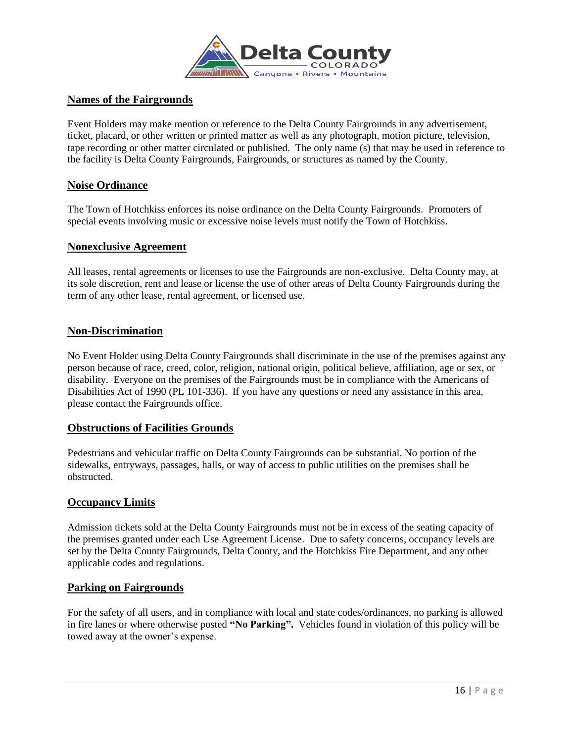

## **Names of the Fairgrounds**

Event Holders may make mention or reference to the Delta County Fairgrounds in any advertisement, ticket, placard, or other written or printed matter as well as any photograph, motion picture, television, tape recording or other matter circulated or published. The only name (s) that may be used in reference to the facility is Delta County Fairgrounds, Fairgrounds, or structures as named by the County.

## **Noise Ordinance**

The Town of Hotchkiss enforces its noise ordinance on the Delta County Fairgrounds. Promoters of special events involving music or excessive noise levels must notify the Town of Hotchkiss.

#### **Nonexclusive Agreement**

All leases, rental agreements or licenses to use the Fairgrounds are non-exclusive. Delta County may, at its sole discretion, rent and lease or license the use of other areas of Delta County Fairgrounds during the term of any other lease, rental agreement, or licensed use.

## **Non-Discrimination**

No Event Holder using Delta County Fairgrounds shall discriminate in the use of the premises against any person because of race, creed, color, religion, national origin, political believe, affiliation, age or sex, or disability. Everyone on the premises of the Fairgrounds must be in compliance with the Americans of Disabilities Act of 1990 (PL 101-336). If you have any questions or need any assistance in this area, please contact the Fairgrounds office.

#### **Obstructions of Facilities Grounds**

Pedestrians and vehicular traffic on Delta County Fairgrounds can be substantial. No portion of the sidewalks, entryways, passages, halls, or way of access to public utilities on the premises shall be obstructed.

#### **Occupancy Limits**

Admission tickets sold at the Delta County Fairgrounds must not be in excess of the seating capacity of the premises granted under each Use Agreement License. Due to safety concerns, occupancy levels are set by the Delta County Fairgrounds, Delta County, and the Hotchkiss Fire Department, and any other applicable codes and regulations.

#### **Parking on Fairgrounds**

For the safety of all users, and in compliance with local and state codes/ordinances, no parking is allowed in fire lanes or where otherwise posted **"No Parking".** Vehicles found in violation of this policy will be towed away at the owner's expense.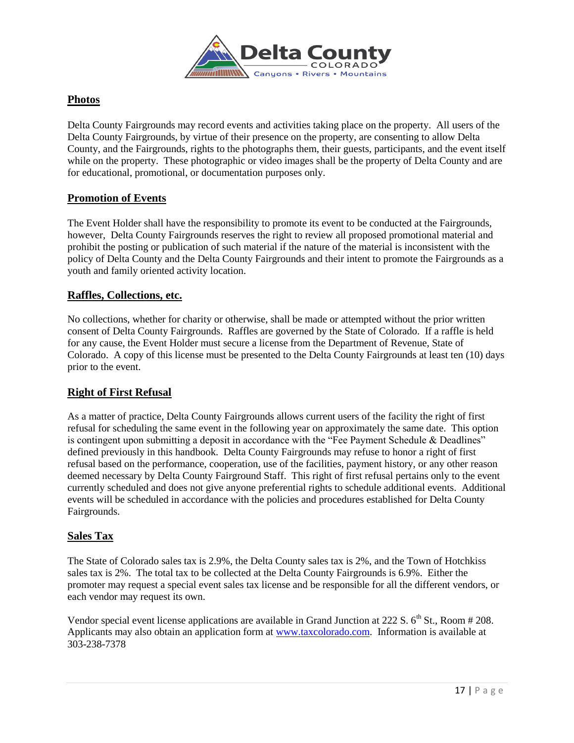

## **Photos**

Delta County Fairgrounds may record events and activities taking place on the property. All users of the Delta County Fairgrounds, by virtue of their presence on the property, are consenting to allow Delta County, and the Fairgrounds, rights to the photographs them, their guests, participants, and the event itself while on the property. These photographic or video images shall be the property of Delta County and are for educational, promotional, or documentation purposes only.

## **Promotion of Events**

The Event Holder shall have the responsibility to promote its event to be conducted at the Fairgrounds, however, Delta County Fairgrounds reserves the right to review all proposed promotional material and prohibit the posting or publication of such material if the nature of the material is inconsistent with the policy of Delta County and the Delta County Fairgrounds and their intent to promote the Fairgrounds as a youth and family oriented activity location.

## **Raffles, Collections, etc.**

No collections, whether for charity or otherwise, shall be made or attempted without the prior written consent of Delta County Fairgrounds. Raffles are governed by the State of Colorado. If a raffle is held for any cause, the Event Holder must secure a license from the Department of Revenue, State of Colorado. A copy of this license must be presented to the Delta County Fairgrounds at least ten (10) days prior to the event.

## **Right of First Refusal**

As a matter of practice, Delta County Fairgrounds allows current users of the facility the right of first refusal for scheduling the same event in the following year on approximately the same date. This option is contingent upon submitting a deposit in accordance with the "Fee Payment Schedule & Deadlines" defined previously in this handbook. Delta County Fairgrounds may refuse to honor a right of first refusal based on the performance, cooperation, use of the facilities, payment history, or any other reason deemed necessary by Delta County Fairground Staff. This right of first refusal pertains only to the event currently scheduled and does not give anyone preferential rights to schedule additional events. Additional events will be scheduled in accordance with the policies and procedures established for Delta County Fairgrounds.

## **Sales Tax**

The State of Colorado sales tax is 2.9%, the Delta County sales tax is 2%, and the Town of Hotchkiss sales tax is 2%. The total tax to be collected at the Delta County Fairgrounds is 6.9%. Either the promoter may request a special event sales tax license and be responsible for all the different vendors, or each vendor may request its own.

Vendor special event license applications are available in Grand Junction at 222 S.  $6<sup>th</sup>$  St., Room # 208. Applicants may also obtain an application form at [www.taxcolorado.com.](http://www.taxcolorado.com/) Information is available at 303-238-7378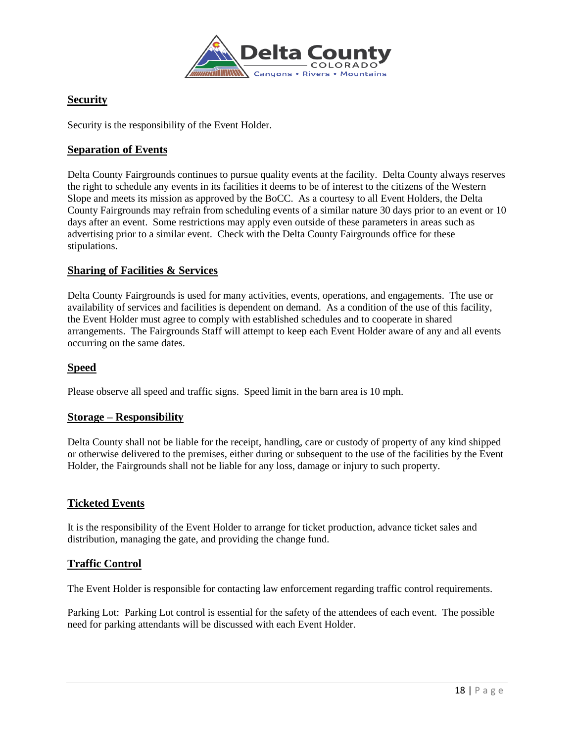

## **Security**

Security is the responsibility of the Event Holder.

## **Separation of Events**

Delta County Fairgrounds continues to pursue quality events at the facility. Delta County always reserves the right to schedule any events in its facilities it deems to be of interest to the citizens of the Western Slope and meets its mission as approved by the BoCC. As a courtesy to all Event Holders, the Delta County Fairgrounds may refrain from scheduling events of a similar nature 30 days prior to an event or 10 days after an event. Some restrictions may apply even outside of these parameters in areas such as advertising prior to a similar event. Check with the Delta County Fairgrounds office for these stipulations.

#### **Sharing of Facilities & Services**

Delta County Fairgrounds is used for many activities, events, operations, and engagements. The use or availability of services and facilities is dependent on demand. As a condition of the use of this facility, the Event Holder must agree to comply with established schedules and to cooperate in shared arrangements. The Fairgrounds Staff will attempt to keep each Event Holder aware of any and all events occurring on the same dates.

## **Speed**

Please observe all speed and traffic signs. Speed limit in the barn area is 10 mph.

## **Storage – Responsibility**

Delta County shall not be liable for the receipt, handling, care or custody of property of any kind shipped or otherwise delivered to the premises, either during or subsequent to the use of the facilities by the Event Holder, the Fairgrounds shall not be liable for any loss, damage or injury to such property.

#### **Ticketed Events**

It is the responsibility of the Event Holder to arrange for ticket production, advance ticket sales and distribution, managing the gate, and providing the change fund.

## **Traffic Control**

The Event Holder is responsible for contacting law enforcement regarding traffic control requirements.

Parking Lot: Parking Lot control is essential for the safety of the attendees of each event. The possible need for parking attendants will be discussed with each Event Holder.